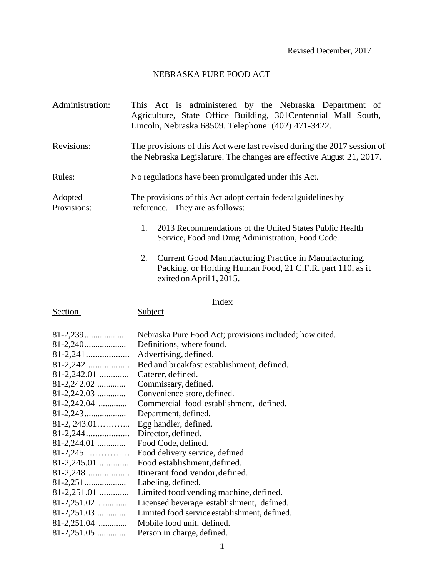Revised December, 2017

## NEBRASKA PURE FOOD ACT

- Administration: This Act is administered by the Nebraska Department of Agriculture, State Office Building, 301Centennial Mall South, Lincoln, Nebraska 68509. Telephone: (402) 471-3422.
- Revisions: The provisions of this Act were last revised during the 2017 session of the Nebraska Legislature. The changes are effective August 21, 2017.

Rules: No regulations have been promulgated under this Act.

Adopted The provisions of this Act adopt certain federal guidelines by Provisions: reference. They are as follows:

- 1. 2013 Recommendations of the United States Public Health Service, Food and Drug Administration, Food Code.
- 2. Current Good Manufacturing Practice in Manufacturing, Packing, or Holding Human Food, 21 C.F.R. part 110, as it exited on April 1, 2015.

#### Index

Section Subject

|                 | Nebraska Pure Food Act; provisions included; how cited. |
|-----------------|---------------------------------------------------------|
|                 | Definitions, where found.                               |
|                 | Advertising, defined.                                   |
|                 | Bed and breakfast establishment, defined.               |
| $81-2,242.01$   | Caterer, defined.                                       |
| $81-2,242.02$   | Commissary, defined.                                    |
| $81-2,242.03$   | Convenience store, defined.                             |
| $81-2,242.04$   | Commercial food establishment, defined.                 |
|                 | Department, defined.                                    |
|                 | Egg handler, defined.                                   |
|                 | Director, defined.                                      |
| $81-2,244.01$   | Food Code, defined.                                     |
| $81 - 2,245$    | Food delivery service, defined.                         |
| $81-2,245.01$   | Food establishment, defined.                            |
|                 | Itinerant food vendor, defined.                         |
|                 | Labeling, defined.                                      |
| $81-2,251.01$   | Limited food vending machine, defined.                  |
| $81-2,251.02$   | Licensed beverage establishment, defined.               |
| $81-2,251.03$   | Limited food service establishment, defined.            |
| $81 - 2,251.04$ | Mobile food unit, defined.                              |
| $81-2,251.05$   | Person in charge, defined.                              |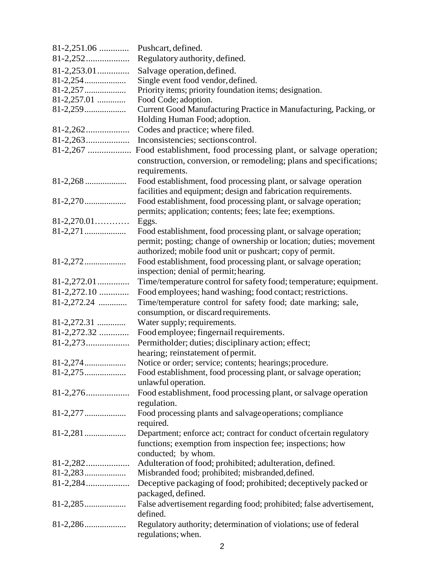| $81-2,251.06$   | Pushcart, defined.                                                                                 |
|-----------------|----------------------------------------------------------------------------------------------------|
|                 | Regulatory authority, defined.                                                                     |
| $81 - 2,253.01$ | Salvage operation, defined.                                                                        |
|                 | Single event food vendor, defined.                                                                 |
|                 | Priority items; priority foundation items; designation.                                            |
| $81-2,257.01$   | Food Code; adoption.                                                                               |
|                 | Current Good Manufacturing Practice in Manufacturing, Packing, or<br>Holding Human Food; adoption. |
|                 | Codes and practice; where filed.                                                                   |
|                 | Inconsistencies; sections control.                                                                 |
|                 | Food establishment, food processing plant, or salvage operation;                                   |
|                 | construction, conversion, or remodeling; plans and specifications;                                 |
|                 | requirements.                                                                                      |
|                 | Food establishment, food processing plant, or salvage operation                                    |
|                 | facilities and equipment; design and fabrication requirements.                                     |
|                 |                                                                                                    |
|                 | Food establishment, food processing plant, or salvage operation;                                   |
|                 | permits; application; contents; fees; late fee; exemptions.                                        |
| $81 - 2,270.01$ | Eggs.                                                                                              |
|                 | Food establishment, food processing plant, or salvage operation;                                   |
|                 | permit; posting; change of ownership or location; duties; movement                                 |
|                 | authorized; mobile food unit or pushcart; copy of permit.                                          |
|                 | Food establishment, food processing plant, or salvage operation;                                   |
|                 | inspection; denial of permit; hearing.                                                             |
| $81 - 2,272.01$ | Time/temperature control for safety food; temperature; equipment.                                  |
| 81-2,272.10     | Food employees; hand washing; food contact; restrictions.                                          |
| $81-2,272.24$   | Time/temperature control for safety food; date marking; sale,                                      |
|                 | consumption, or discard requirements.                                                              |
| $81-2,272.31$   | Water supply; requirements.                                                                        |
| $81-2,272.32$   | Food employee; fingernail requirements.                                                            |
|                 | Permitholder; duties; disciplinary action; effect;                                                 |
|                 | hearing; reinstatement of permit.<br>Notice or order; service; contents; hearings; procedure.      |
|                 | Food establishment, food processing plant, or salvage operation;                                   |
|                 | unlawful operation.                                                                                |
|                 | Food establishment, food processing plant, or salvage operation                                    |
|                 | regulation.                                                                                        |
|                 | Food processing plants and salvage operations; compliance                                          |
|                 | required.                                                                                          |
|                 | Department; enforce act; contract for conduct of certain regulatory                                |
|                 | functions; exemption from inspection fee; inspections; how                                         |
|                 | conducted; by whom.                                                                                |
|                 | Adulteration of food; prohibited; adulteration, defined.                                           |
|                 | Misbranded food; prohibited; misbranded, defined.                                                  |
|                 | Deceptive packaging of food; prohibited; deceptively packed or                                     |
|                 | packaged, defined.                                                                                 |
|                 | False advertisement regarding food; prohibited; false advertisement,                               |
|                 | defined.                                                                                           |
|                 | Regulatory authority; determination of violations; use of federal                                  |
|                 | regulations; when.                                                                                 |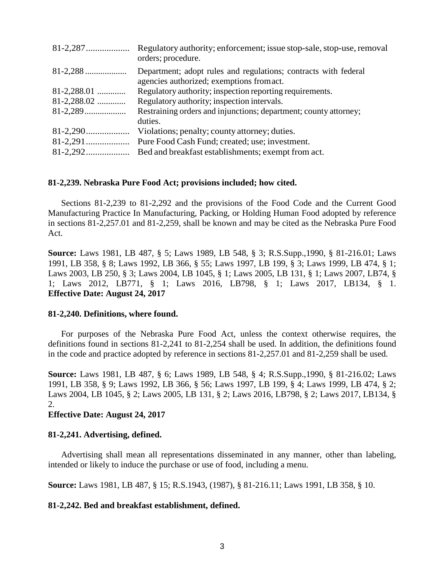|               | Regulatory authority; enforcement; issue stop-sale, stop-use, removal<br>orders; procedure.                  |
|---------------|--------------------------------------------------------------------------------------------------------------|
|               | Department; adopt rules and regulations; contracts with federal<br>agencies authorized; exemptions from act. |
| $81-2,288.01$ | Regulatory authority; inspection reporting requirements.                                                     |
| $81-2,288.02$ | Regulatory authority; inspection intervals.                                                                  |
|               | Restraining orders and injunctions; department; county attorney;                                             |
|               | duties.                                                                                                      |
|               | Violations; penalty; county attorney; duties.                                                                |
|               | Pure Food Cash Fund; created; use; investment.                                                               |
|               | Bed and breakfast establishments; exempt from act.                                                           |

## **81-2,239. Nebraska Pure Food Act; provisions included; how cited.**

Sections 81-2,239 to 81-2,292 and the provisions of the Food Code and the Current Good Manufacturing Practice In Manufacturing, Packing, or Holding Human Food adopted by reference in sections 81-2,257.01 and 81-2,259, shall be known and may be cited as the Nebraska Pure Food Act.

**Source:** Laws 1981, LB 487, § 5; Laws 1989, LB 548, § 3; R.S.Supp.,1990, § 81-216.01; Laws 1991, LB 358, § 8; Laws 1992, LB 366, § 55; Laws 1997, LB 199, § 3; Laws 1999, LB 474, § 1; Laws 2003, LB 250, § 3; Laws 2004, LB 1045, § 1; Laws 2005, LB 131, § 1; Laws 2007, LB74, § 1; Laws 2012, LB771, § 1; Laws 2016, LB798, § 1; Laws 2017, LB134, § 1. **Effective Date: August 24, 2017**

## **81-2,240. Definitions, where found.**

For purposes of the Nebraska Pure Food Act, unless the context otherwise requires, the definitions found in sections 81-2,241 to 81-2,254 shall be used. In addition, the definitions found in the code and practice adopted by reference in sections 81-2,257.01 and 81-2,259 shall be used.

**Source:** Laws 1981, LB 487, § 6; Laws 1989, LB 548, § 4; R.S.Supp.,1990, § 81-216.02; Laws 1991, LB 358, § 9; Laws 1992, LB 366, § 56; Laws 1997, LB 199, § 4; Laws 1999, LB 474, § 2; Laws 2004, LB 1045, § 2; Laws 2005, LB 131, § 2; Laws 2016, LB798, § 2; Laws 2017, LB134, § 2.

## **Effective Date: August 24, 2017**

## **81-2,241. Advertising, defined.**

Advertising shall mean all representations disseminated in any manner, other than labeling, intended or likely to induce the purchase or use of food, including a menu.

**Source:** Laws 1981, LB 487, § 15; R.S.1943, (1987), § 81-216.11; Laws 1991, LB 358, § 10.

## **81-2,242. Bed and breakfast establishment, defined.**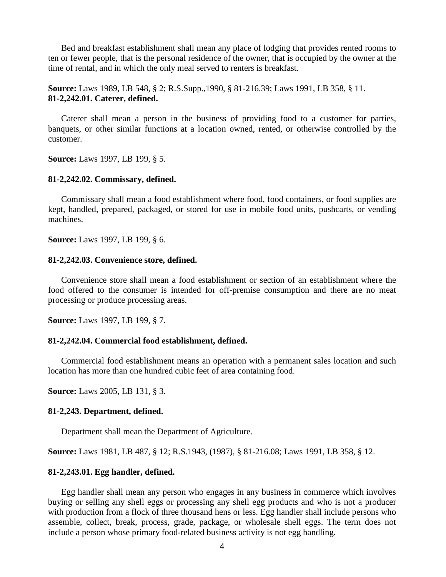Bed and breakfast establishment shall mean any place of lodging that provides rented rooms to ten or fewer people, that is the personal residence of the owner, that is occupied by the owner at the time of rental, and in which the only meal served to renters is breakfast.

**Source:** Laws 1989, LB 548, § 2; R.S.Supp.,1990, § 81-216.39; Laws 1991, LB 358, § 11. **81-2,242.01. Caterer, defined.**

Caterer shall mean a person in the business of providing food to a customer for parties, banquets, or other similar functions at a location owned, rented, or otherwise controlled by the customer.

**Source:** Laws 1997, LB 199, § 5.

#### **81-2,242.02. Commissary, defined.**

Commissary shall mean a food establishment where food, food containers, or food supplies are kept, handled, prepared, packaged, or stored for use in mobile food units, pushcarts, or vending machines.

**Source:** Laws 1997, LB 199, § 6.

#### **81-2,242.03. Convenience store, defined.**

Convenience store shall mean a food establishment or section of an establishment where the food offered to the consumer is intended for off-premise consumption and there are no meat processing or produce processing areas.

**Source:** Laws 1997, LB 199, § 7.

#### **81-2,242.04. Commercial food establishment, defined.**

Commercial food establishment means an operation with a permanent sales location and such location has more than one hundred cubic feet of area containing food.

**Source:** Laws 2005, LB 131, § 3.

#### **81-2,243. Department, defined.**

Department shall mean the Department of Agriculture.

**Source:** Laws 1981, LB 487, § 12; R.S.1943, (1987), § 81-216.08; Laws 1991, LB 358, § 12.

#### **81-2,243.01. Egg handler, defined.**

Egg handler shall mean any person who engages in any business in commerce which involves buying or selling any shell eggs or processing any shell egg products and who is not a producer with production from a flock of three thousand hens or less. Egg handler shall include persons who assemble, collect, break, process, grade, package, or wholesale shell eggs. The term does not include a person whose primary food-related business activity is not egg handling.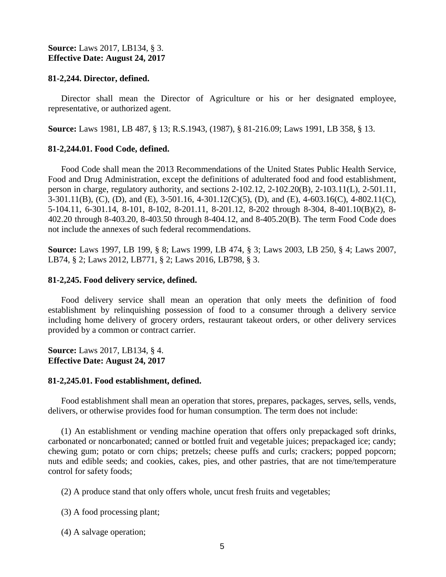## **Source:** Laws 2017, LB134, § 3. **Effective Date: August 24, 2017**

## **81-2,244. Director, defined.**

Director shall mean the Director of Agriculture or his or her designated employee, representative, or authorized agent.

**Source:** Laws 1981, LB 487, § 13; R.S.1943, (1987), § 81-216.09; Laws 1991, LB 358, § 13.

## **81-2,244.01. Food Code, defined.**

Food Code shall mean the 2013 Recommendations of the United States Public Health Service, Food and Drug Administration, except the definitions of adulterated food and food establishment, person in charge, regulatory authority, and sections 2-102.12, 2-102.20(B), 2-103.11(L), 2-501.11, 3-301.11(B), (C), (D), and (E), 3-501.16, 4-301.12(C)(5), (D), and (E), 4-603.16(C), 4-802.11(C), 5-104.11, 6-301.14, 8-101, 8-102, 8-201.11, 8-201.12, 8-202 through 8-304, 8-401.10(B)(2), 8- 402.20 through 8-403.20, 8-403.50 through 8-404.12, and 8-405.20(B). The term Food Code does not include the annexes of such federal recommendations.

**Source:** Laws 1997, LB 199, § 8; Laws 1999, LB 474, § 3; Laws 2003, LB 250, § 4; Laws 2007, LB74, § 2; Laws 2012, LB771, § 2; Laws 2016, LB798, § 3.

## **81-2,245. Food delivery service, defined.**

Food delivery service shall mean an operation that only meets the definition of food establishment by relinquishing possession of food to a consumer through a delivery service including home delivery of grocery orders, restaurant takeout orders, or other delivery services provided by a common or contract carrier.

**Source:** Laws 2017, LB134, § 4. **Effective Date: August 24, 2017**

## **81-2,245.01. Food establishment, defined.**

Food establishment shall mean an operation that stores, prepares, packages, serves, sells, vends, delivers, or otherwise provides food for human consumption. The term does not include:

(1) An establishment or vending machine operation that offers only prepackaged soft drinks, carbonated or noncarbonated; canned or bottled fruit and vegetable juices; prepackaged ice; candy; chewing gum; potato or corn chips; pretzels; cheese puffs and curls; crackers; popped popcorn; nuts and edible seeds; and cookies, cakes, pies, and other pastries, that are not time/temperature control for safety foods;

(2) A produce stand that only offers whole, uncut fresh fruits and vegetables;

(3) A food processing plant;

(4) A salvage operation;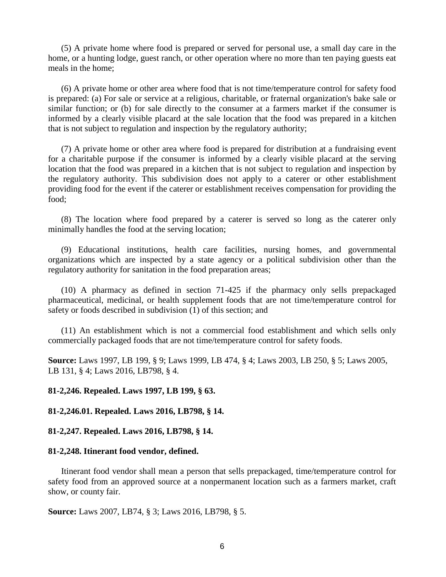(5) A private home where food is prepared or served for personal use, a small day care in the home, or a hunting lodge, guest ranch, or other operation where no more than ten paying guests eat meals in the home;

(6) A private home or other area where food that is not time/temperature control for safety food is prepared: (a) For sale or service at a religious, charitable, or fraternal organization's bake sale or similar function; or (b) for sale directly to the consumer at a farmers market if the consumer is informed by a clearly visible placard at the sale location that the food was prepared in a kitchen that is not subject to regulation and inspection by the regulatory authority;

(7) A private home or other area where food is prepared for distribution at a fundraising event for a charitable purpose if the consumer is informed by a clearly visible placard at the serving location that the food was prepared in a kitchen that is not subject to regulation and inspection by the regulatory authority. This subdivision does not apply to a caterer or other establishment providing food for the event if the caterer or establishment receives compensation for providing the food;

(8) The location where food prepared by a caterer is served so long as the caterer only minimally handles the food at the serving location;

(9) Educational institutions, health care facilities, nursing homes, and governmental organizations which are inspected by a state agency or a political subdivision other than the regulatory authority for sanitation in the food preparation areas;

(10) A pharmacy as defined in section 71-425 if the pharmacy only sells prepackaged pharmaceutical, medicinal, or health supplement foods that are not time/temperature control for safety or foods described in subdivision (1) of this section; and

(11) An establishment which is not a commercial food establishment and which sells only commercially packaged foods that are not time/temperature control for safety foods.

**Source:** Laws 1997, LB 199, § 9; Laws 1999, LB 474, § 4; Laws 2003, LB 250, § 5; Laws 2005, LB 131, § 4; Laws 2016, LB798, § 4.

**81-2,246. Repealed. Laws 1997, LB 199, § 63.**

**81-2,246.01. Repealed. Laws 2016, LB798, § 14.**

**81-2,247. Repealed. Laws 2016, LB798, § 14.**

#### **81-2,248. Itinerant food vendor, defined.**

Itinerant food vendor shall mean a person that sells prepackaged, time/temperature control for safety food from an approved source at a nonpermanent location such as a farmers market, craft show, or county fair.

**Source:** Laws 2007, LB74, § 3; Laws 2016, LB798, § 5.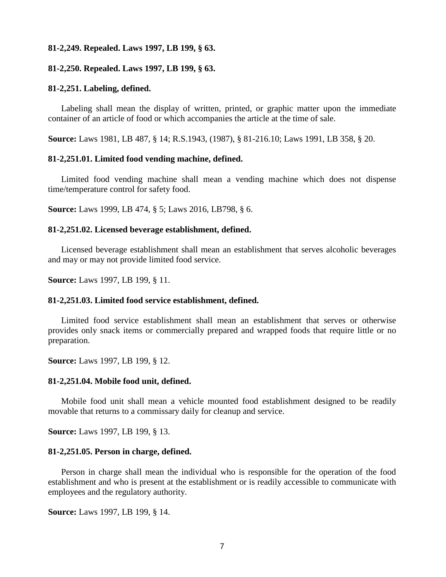#### **81-2,249. Repealed. Laws 1997, LB 199, § 63.**

#### **81-2,250. Repealed. Laws 1997, LB 199, § 63.**

#### **81-2,251. Labeling, defined.**

Labeling shall mean the display of written, printed, or graphic matter upon the immediate container of an article of food or which accompanies the article at the time of sale.

**Source:** Laws 1981, LB 487, § 14; R.S.1943, (1987), § 81-216.10; Laws 1991, LB 358, § 20.

#### **81-2,251.01. Limited food vending machine, defined.**

Limited food vending machine shall mean a vending machine which does not dispense time/temperature control for safety food.

**Source:** Laws 1999, LB 474, § 5; Laws 2016, LB798, § 6.

#### **81-2,251.02. Licensed beverage establishment, defined.**

Licensed beverage establishment shall mean an establishment that serves alcoholic beverages and may or may not provide limited food service.

**Source:** Laws 1997, LB 199, § 11.

#### **81-2,251.03. Limited food service establishment, defined.**

Limited food service establishment shall mean an establishment that serves or otherwise provides only snack items or commercially prepared and wrapped foods that require little or no preparation.

**Source:** Laws 1997, LB 199, § 12.

#### **81-2,251.04. Mobile food unit, defined.**

Mobile food unit shall mean a vehicle mounted food establishment designed to be readily movable that returns to a commissary daily for cleanup and service.

**Source:** Laws 1997, LB 199, § 13.

#### **81-2,251.05. Person in charge, defined.**

Person in charge shall mean the individual who is responsible for the operation of the food establishment and who is present at the establishment or is readily accessible to communicate with employees and the regulatory authority.

**Source:** Laws 1997, LB 199, § 14.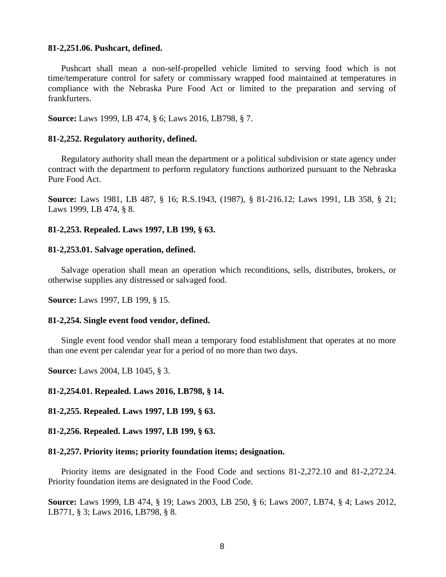#### **81-2,251.06. Pushcart, defined.**

Pushcart shall mean a non-self-propelled vehicle limited to serving food which is not time/temperature control for safety or commissary wrapped food maintained at temperatures in compliance with the Nebraska Pure Food Act or limited to the preparation and serving of frankfurters.

**Source:** Laws 1999, LB 474, § 6; Laws 2016, LB798, § 7.

#### **81-2,252. Regulatory authority, defined.**

Regulatory authority shall mean the department or a political subdivision or state agency under contract with the department to perform regulatory functions authorized pursuant to the Nebraska Pure Food Act.

**Source:** Laws 1981, LB 487, § 16; R.S.1943, (1987), § 81-216.12; Laws 1991, LB 358, § 21; Laws 1999, LB 474, § 8.

## **81-2,253. Repealed. Laws 1997, LB 199, § 63.**

#### **81-2,253.01. Salvage operation, defined.**

Salvage operation shall mean an operation which reconditions, sells, distributes, brokers, or otherwise supplies any distressed or salvaged food.

**Source:** Laws 1997, LB 199, § 15.

#### **81-2,254. Single event food vendor, defined.**

Single event food vendor shall mean a temporary food establishment that operates at no more than one event per calendar year for a period of no more than two days.

**Source:** Laws 2004, LB 1045, § 3.

**81-2,254.01. Repealed. Laws 2016, LB798, § 14.**

**81-2,255. Repealed. Laws 1997, LB 199, § 63.**

**81-2,256. Repealed. Laws 1997, LB 199, § 63.**

#### **81-2,257. Priority items; priority foundation items; designation.**

Priority items are designated in the Food Code and sections 81-2,272.10 and 81-2,272.24. Priority foundation items are designated in the Food Code.

**Source:** Laws 1999, LB 474, § 19; Laws 2003, LB 250, § 6; Laws 2007, LB74, § 4; Laws 2012, LB771, § 3; Laws 2016, LB798, § 8.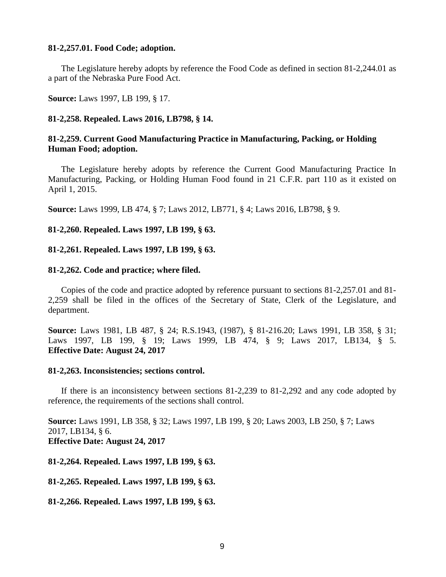#### **81-2,257.01. Food Code; adoption.**

The Legislature hereby adopts by reference the Food Code as defined in section 81-2,244.01 as a part of the Nebraska Pure Food Act.

**Source:** Laws 1997, LB 199, § 17.

#### **81-2,258. Repealed. Laws 2016, LB798, § 14.**

## **81-2,259. Current Good Manufacturing Practice in Manufacturing, Packing, or Holding Human Food; adoption.**

The Legislature hereby adopts by reference the Current Good Manufacturing Practice In Manufacturing, Packing, or Holding Human Food found in 21 C.F.R. part 110 as it existed on April 1, 2015.

**Source:** Laws 1999, LB 474, § 7; Laws 2012, LB771, § 4; Laws 2016, LB798, § 9.

**81-2,260. Repealed. Laws 1997, LB 199, § 63.**

**81-2,261. Repealed. Laws 1997, LB 199, § 63.**

#### **81-2,262. Code and practice; where filed.**

Copies of the code and practice adopted by reference pursuant to sections 81-2,257.01 and 81- 2,259 shall be filed in the offices of the Secretary of State, Clerk of the Legislature, and department.

**Source:** Laws 1981, LB 487, § 24; R.S.1943, (1987), § 81-216.20; Laws 1991, LB 358, § 31; Laws 1997, LB 199, § 19; Laws 1999, LB 474, § 9; Laws 2017, LB134, § 5. **Effective Date: August 24, 2017**

#### **81-2,263. Inconsistencies; sections control.**

If there is an inconsistency between sections 81-2,239 to 81-2,292 and any code adopted by reference, the requirements of the sections shall control.

**Source:** Laws 1991, LB 358, § 32; Laws 1997, LB 199, § 20; Laws 2003, LB 250, § 7; Laws 2017, LB134, § 6. **Effective Date: August 24, 2017**

**81-2,264. Repealed. Laws 1997, LB 199, § 63.**

**81-2,265. Repealed. Laws 1997, LB 199, § 63.**

**81-2,266. Repealed. Laws 1997, LB 199, § 63.**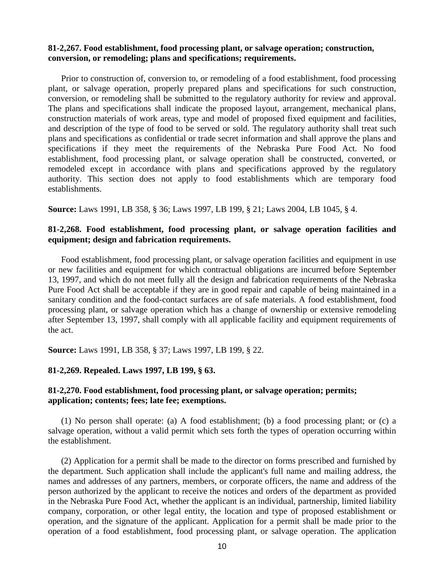## **81-2,267. Food establishment, food processing plant, or salvage operation; construction, conversion, or remodeling; plans and specifications; requirements.**

Prior to construction of, conversion to, or remodeling of a food establishment, food processing plant, or salvage operation, properly prepared plans and specifications for such construction, conversion, or remodeling shall be submitted to the regulatory authority for review and approval. The plans and specifications shall indicate the proposed layout, arrangement, mechanical plans, construction materials of work areas, type and model of proposed fixed equipment and facilities, and description of the type of food to be served or sold. The regulatory authority shall treat such plans and specifications as confidential or trade secret information and shall approve the plans and specifications if they meet the requirements of the Nebraska Pure Food Act. No food establishment, food processing plant, or salvage operation shall be constructed, converted, or remodeled except in accordance with plans and specifications approved by the regulatory authority. This section does not apply to food establishments which are temporary food establishments.

**Source:** Laws 1991, LB 358, § 36; Laws 1997, LB 199, § 21; Laws 2004, LB 1045, § 4.

## **81-2,268. Food establishment, food processing plant, or salvage operation facilities and equipment; design and fabrication requirements.**

Food establishment, food processing plant, or salvage operation facilities and equipment in use or new facilities and equipment for which contractual obligations are incurred before September 13, 1997, and which do not meet fully all the design and fabrication requirements of the Nebraska Pure Food Act shall be acceptable if they are in good repair and capable of being maintained in a sanitary condition and the food-contact surfaces are of safe materials. A food establishment, food processing plant, or salvage operation which has a change of ownership or extensive remodeling after September 13, 1997, shall comply with all applicable facility and equipment requirements of the act.

**Source:** Laws 1991, LB 358, § 37; Laws 1997, LB 199, § 22.

# **81-2,269. Repealed. Laws 1997, LB 199, § 63.**

## **81-2,270. Food establishment, food processing plant, or salvage operation; permits; application; contents; fees; late fee; exemptions.**

(1) No person shall operate: (a) A food establishment; (b) a food processing plant; or (c) a salvage operation, without a valid permit which sets forth the types of operation occurring within the establishment.

(2) Application for a permit shall be made to the director on forms prescribed and furnished by the department. Such application shall include the applicant's full name and mailing address, the names and addresses of any partners, members, or corporate officers, the name and address of the person authorized by the applicant to receive the notices and orders of the department as provided in the Nebraska Pure Food Act, whether the applicant is an individual, partnership, limited liability company, corporation, or other legal entity, the location and type of proposed establishment or operation, and the signature of the applicant. Application for a permit shall be made prior to the operation of a food establishment, food processing plant, or salvage operation. The application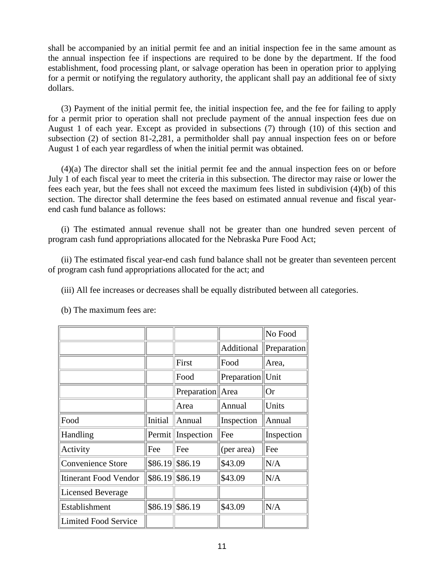shall be accompanied by an initial permit fee and an initial inspection fee in the same amount as the annual inspection fee if inspections are required to be done by the department. If the food establishment, food processing plant, or salvage operation has been in operation prior to applying for a permit or notifying the regulatory authority, the applicant shall pay an additional fee of sixty dollars.

(3) Payment of the initial permit fee, the initial inspection fee, and the fee for failing to apply for a permit prior to operation shall not preclude payment of the annual inspection fees due on August 1 of each year. Except as provided in subsections (7) through (10) of this section and subsection (2) of section 81-2,281, a permitholder shall pay annual inspection fees on or before August 1 of each year regardless of when the initial permit was obtained.

(4)(a) The director shall set the initial permit fee and the annual inspection fees on or before July 1 of each fiscal year to meet the criteria in this subsection. The director may raise or lower the fees each year, but the fees shall not exceed the maximum fees listed in subdivision (4)(b) of this section. The director shall determine the fees based on estimated annual revenue and fiscal yearend cash fund balance as follows:

(i) The estimated annual revenue shall not be greater than one hundred seven percent of program cash fund appropriations allocated for the Nebraska Pure Food Act;

(ii) The estimated fiscal year-end cash fund balance shall not be greater than seventeen percent of program cash fund appropriations allocated for the act; and

(iii) All fee increases or decreases shall be equally distributed between all categories.

|                              |         |                    |                   | No Food     |
|------------------------------|---------|--------------------|-------------------|-------------|
|                              |         |                    | <b>Additional</b> | Preparation |
|                              |         | First              | Food              | Area,       |
|                              |         | Food               | Preparation       | Unit        |
|                              |         | Preparation   Area |                   | <b>Or</b>   |
|                              |         | Area               | Annual            | Units       |
| Food                         | Initial | Annual             | Inspection        | Annual      |
| Handling                     | Permit  | Inspection         | Fee               | Inspection  |
| Activity                     | Fee     | Fee                | (per area)        | Fee         |
| <b>Convenience Store</b>     | \$86.19 | \$86.19            | \$43.09           | N/A         |
| <b>Itinerant Food Vendor</b> | \$86.19 | \$86.19            | \$43.09           | N/A         |
| <b>Licensed Beverage</b>     |         |                    |                   |             |
| Establishment                | \$86.19 | \$86.19            | \$43.09           | N/A         |
| Limited Food Service         |         |                    |                   |             |

(b) The maximum fees are: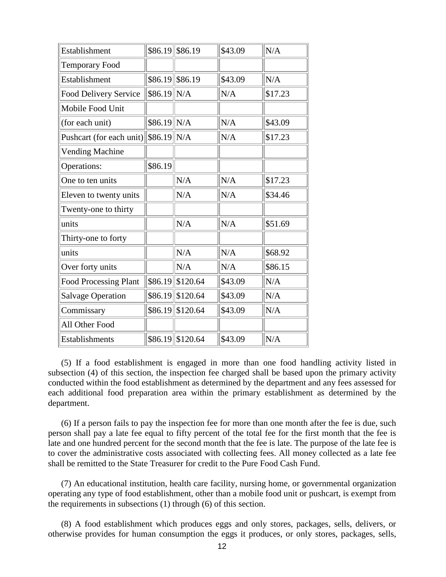| Establishment                | \$86.19      | \$86.19            | \$43.09 | N/A     |
|------------------------------|--------------|--------------------|---------|---------|
| <b>Temporary Food</b>        |              |                    |         |         |
| Establishment                |              | $$86.19$ \\$86.19  | \$43.09 | N/A     |
| <b>Food Delivery Service</b> | $$86.19$ N/A |                    | N/A     | \$17.23 |
| Mobile Food Unit             |              |                    |         |         |
| (for each unit)              | $$86.19$ N/A |                    | N/A     | \$43.09 |
| Pushcart (for each unit)     | $$86.19$ N/A |                    | N/A     | \$17.23 |
| <b>Vending Machine</b>       |              |                    |         |         |
| Operations:                  | \$86.19      |                    |         |         |
| One to ten units             |              | N/A                | N/A     | \$17.23 |
| Eleven to twenty units       |              | N/A                | N/A     | \$34.46 |
| Twenty-one to thirty         |              |                    |         |         |
| units                        |              | N/A                | N/A     | \$51.69 |
| Thirty-one to forty          |              |                    |         |         |
| units                        |              | N/A                | N/A     | \$68.92 |
| Over forty units             |              | N/A                | N/A     | \$86.15 |
| <b>Food Processing Plant</b> |              | \$86.19 \$120.64   | \$43.09 | N/A     |
| <b>Salvage Operation</b>     | \$86.19      | \$120.64           | \$43.09 | N/A     |
| Commissary                   | \$86.19      | \$120.64           | \$43.09 | N/A     |
| All Other Food               |              |                    |         |         |
| Establishments               |              | $$86.19$ \\$120.64 | \$43.09 | N/A     |

(5) If a food establishment is engaged in more than one food handling activity listed in subsection (4) of this section, the inspection fee charged shall be based upon the primary activity conducted within the food establishment as determined by the department and any fees assessed for each additional food preparation area within the primary establishment as determined by the department.

(6) If a person fails to pay the inspection fee for more than one month after the fee is due, such person shall pay a late fee equal to fifty percent of the total fee for the first month that the fee is late and one hundred percent for the second month that the fee is late. The purpose of the late fee is to cover the administrative costs associated with collecting fees. All money collected as a late fee shall be remitted to the State Treasurer for credit to the Pure Food Cash Fund.

(7) An educational institution, health care facility, nursing home, or governmental organization operating any type of food establishment, other than a mobile food unit or pushcart, is exempt from the requirements in subsections (1) through (6) of this section.

(8) A food establishment which produces eggs and only stores, packages, sells, delivers, or otherwise provides for human consumption the eggs it produces, or only stores, packages, sells,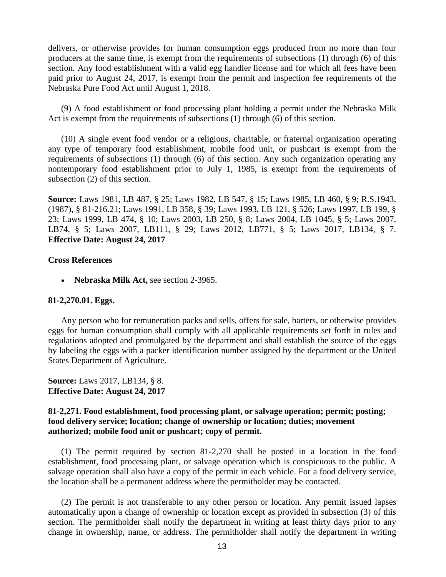delivers, or otherwise provides for human consumption eggs produced from no more than four producers at the same time, is exempt from the requirements of subsections (1) through (6) of this section. Any food establishment with a valid egg handler license and for which all fees have been paid prior to August 24, 2017, is exempt from the permit and inspection fee requirements of the Nebraska Pure Food Act until August 1, 2018.

(9) A food establishment or food processing plant holding a permit under the Nebraska Milk Act is exempt from the requirements of subsections (1) through (6) of this section.

(10) A single event food vendor or a religious, charitable, or fraternal organization operating any type of temporary food establishment, mobile food unit, or pushcart is exempt from the requirements of subsections (1) through (6) of this section. Any such organization operating any nontemporary food establishment prior to July 1, 1985, is exempt from the requirements of subsection (2) of this section.

**Source:** Laws 1981, LB 487, § 25; Laws 1982, LB 547, § 15; Laws 1985, LB 460, § 9; R.S.1943, (1987), § 81-216.21; Laws 1991, LB 358, § 39; Laws 1993, LB 121, § 526; Laws 1997, LB 199, § 23; Laws 1999, LB 474, § 10; Laws 2003, LB 250, § 8; Laws 2004, LB 1045, § 5; Laws 2007, LB74, § 5; Laws 2007, LB111, § 29; Laws 2012, LB771, § 5; Laws 2017, LB134, § 7. **Effective Date: August 24, 2017**

## **Cross References**

• **Nebraska Milk Act,** see section 2-3965.

#### **81-2,270.01. Eggs.**

Any person who for remuneration packs and sells, offers for sale, barters, or otherwise provides eggs for human consumption shall comply with all applicable requirements set forth in rules and regulations adopted and promulgated by the department and shall establish the source of the eggs by labeling the eggs with a packer identification number assigned by the department or the United States Department of Agriculture.

## **Source:** Laws 2017, LB134, § 8. **Effective Date: August 24, 2017**

## **81-2,271. Food establishment, food processing plant, or salvage operation; permit; posting; food delivery service; location; change of ownership or location; duties; movement authorized; mobile food unit or pushcart; copy of permit.**

(1) The permit required by section 81-2,270 shall be posted in a location in the food establishment, food processing plant, or salvage operation which is conspicuous to the public. A salvage operation shall also have a copy of the permit in each vehicle. For a food delivery service, the location shall be a permanent address where the permitholder may be contacted.

(2) The permit is not transferable to any other person or location. Any permit issued lapses automatically upon a change of ownership or location except as provided in subsection (3) of this section. The permitholder shall notify the department in writing at least thirty days prior to any change in ownership, name, or address. The permitholder shall notify the department in writing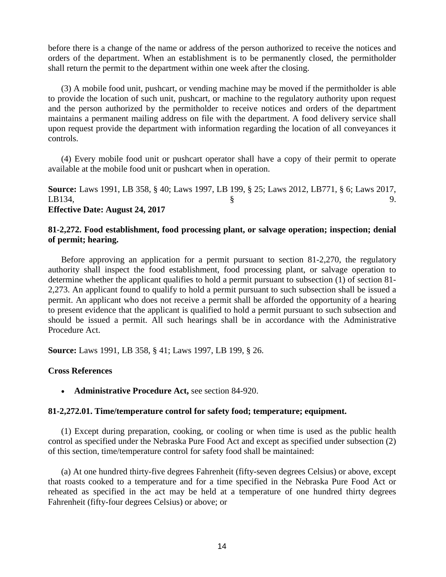before there is a change of the name or address of the person authorized to receive the notices and orders of the department. When an establishment is to be permanently closed, the permitholder shall return the permit to the department within one week after the closing.

(3) A mobile food unit, pushcart, or vending machine may be moved if the permitholder is able to provide the location of such unit, pushcart, or machine to the regulatory authority upon request and the person authorized by the permitholder to receive notices and orders of the department maintains a permanent mailing address on file with the department. A food delivery service shall upon request provide the department with information regarding the location of all conveyances it controls.

(4) Every mobile food unit or pushcart operator shall have a copy of their permit to operate available at the mobile food unit or pushcart when in operation.

**Source:** Laws 1991, LB 358, § 40; Laws 1997, LB 199, § 25; Laws 2012, LB771, § 6; Laws 2017, LB134,  $\S$  9. **Effective Date: August 24, 2017**

# **81-2,272. Food establishment, food processing plant, or salvage operation; inspection; denial of permit; hearing.**

Before approving an application for a permit pursuant to section 81-2,270, the regulatory authority shall inspect the food establishment, food processing plant, or salvage operation to determine whether the applicant qualifies to hold a permit pursuant to subsection (1) of section 81- 2,273. An applicant found to qualify to hold a permit pursuant to such subsection shall be issued a permit. An applicant who does not receive a permit shall be afforded the opportunity of a hearing to present evidence that the applicant is qualified to hold a permit pursuant to such subsection and should be issued a permit. All such hearings shall be in accordance with the Administrative Procedure Act.

**Source:** Laws 1991, LB 358, § 41; Laws 1997, LB 199, § 26.

## **Cross References**

• **Administrative Procedure Act,** see section 84-920.

## **81-2,272.01. Time/temperature control for safety food; temperature; equipment.**

(1) Except during preparation, cooking, or cooling or when time is used as the public health control as specified under the Nebraska Pure Food Act and except as specified under subsection (2) of this section, time/temperature control for safety food shall be maintained:

(a) At one hundred thirty-five degrees Fahrenheit (fifty-seven degrees Celsius) or above, except that roasts cooked to a temperature and for a time specified in the Nebraska Pure Food Act or reheated as specified in the act may be held at a temperature of one hundred thirty degrees Fahrenheit (fifty-four degrees Celsius) or above; or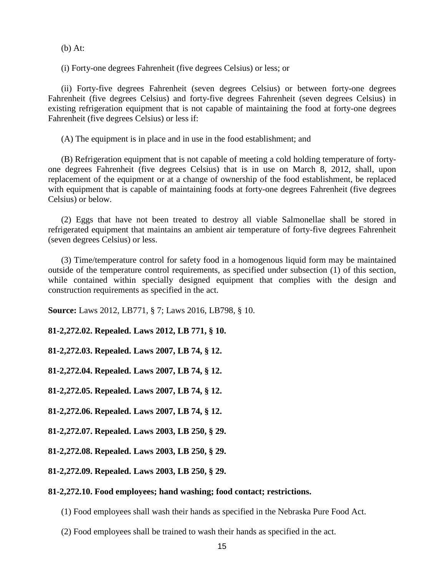(b) At:

(i) Forty-one degrees Fahrenheit (five degrees Celsius) or less; or

(ii) Forty-five degrees Fahrenheit (seven degrees Celsius) or between forty-one degrees Fahrenheit (five degrees Celsius) and forty-five degrees Fahrenheit (seven degrees Celsius) in existing refrigeration equipment that is not capable of maintaining the food at forty-one degrees Fahrenheit (five degrees Celsius) or less if:

(A) The equipment is in place and in use in the food establishment; and

(B) Refrigeration equipment that is not capable of meeting a cold holding temperature of fortyone degrees Fahrenheit (five degrees Celsius) that is in use on March 8, 2012, shall, upon replacement of the equipment or at a change of ownership of the food establishment, be replaced with equipment that is capable of maintaining foods at forty-one degrees Fahrenheit (five degrees Celsius) or below.

(2) Eggs that have not been treated to destroy all viable Salmonellae shall be stored in refrigerated equipment that maintains an ambient air temperature of forty-five degrees Fahrenheit (seven degrees Celsius) or less.

(3) Time/temperature control for safety food in a homogenous liquid form may be maintained outside of the temperature control requirements, as specified under subsection (1) of this section, while contained within specially designed equipment that complies with the design and construction requirements as specified in the act.

**Source:** Laws 2012, LB771, § 7; Laws 2016, LB798, § 10.

**81-2,272.02. Repealed. Laws 2012, LB 771, § 10.**

**81-2,272.03. Repealed. Laws 2007, LB 74, § 12.**

**81-2,272.04. Repealed. Laws 2007, LB 74, § 12.**

**81-2,272.05. Repealed. Laws 2007, LB 74, § 12.**

**81-2,272.06. Repealed. Laws 2007, LB 74, § 12.**

**81-2,272.07. Repealed. Laws 2003, LB 250, § 29.**

**81-2,272.08. Repealed. Laws 2003, LB 250, § 29.**

**81-2,272.09. Repealed. Laws 2003, LB 250, § 29.**

## **81-2,272.10. Food employees; hand washing; food contact; restrictions.**

- (1) Food employees shall wash their hands as specified in the Nebraska Pure Food Act.
- (2) Food employees shall be trained to wash their hands as specified in the act.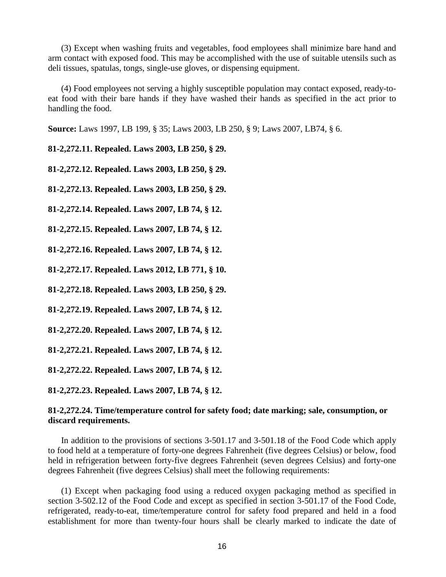(3) Except when washing fruits and vegetables, food employees shall minimize bare hand and arm contact with exposed food. This may be accomplished with the use of suitable utensils such as deli tissues, spatulas, tongs, single-use gloves, or dispensing equipment.

(4) Food employees not serving a highly susceptible population may contact exposed, ready-toeat food with their bare hands if they have washed their hands as specified in the act prior to handling the food.

**Source:** Laws 1997, LB 199, § 35; Laws 2003, LB 250, § 9; Laws 2007, LB74, § 6.

**81-2,272.11. Repealed. Laws 2003, LB 250, § 29.**

**81-2,272.12. Repealed. Laws 2003, LB 250, § 29.**

**81-2,272.13. Repealed. Laws 2003, LB 250, § 29.**

**81-2,272.14. Repealed. Laws 2007, LB 74, § 12.**

**81-2,272.15. Repealed. Laws 2007, LB 74, § 12.**

**81-2,272.16. Repealed. Laws 2007, LB 74, § 12.**

**81-2,272.17. Repealed. Laws 2012, LB 771, § 10.**

**81-2,272.18. Repealed. Laws 2003, LB 250, § 29.**

**81-2,272.19. Repealed. Laws 2007, LB 74, § 12.**

**81-2,272.20. Repealed. Laws 2007, LB 74, § 12.**

**81-2,272.21. Repealed. Laws 2007, LB 74, § 12.**

**81-2,272.22. Repealed. Laws 2007, LB 74, § 12.**

**81-2,272.23. Repealed. Laws 2007, LB 74, § 12.**

## **81-2,272.24. Time/temperature control for safety food; date marking; sale, consumption, or discard requirements.**

In addition to the provisions of sections 3-501.17 and 3-501.18 of the Food Code which apply to food held at a temperature of forty-one degrees Fahrenheit (five degrees Celsius) or below, food held in refrigeration between forty-five degrees Fahrenheit (seven degrees Celsius) and forty-one degrees Fahrenheit (five degrees Celsius) shall meet the following requirements:

(1) Except when packaging food using a reduced oxygen packaging method as specified in section 3-502.12 of the Food Code and except as specified in section 3-501.17 of the Food Code, refrigerated, ready-to-eat, time/temperature control for safety food prepared and held in a food establishment for more than twenty-four hours shall be clearly marked to indicate the date of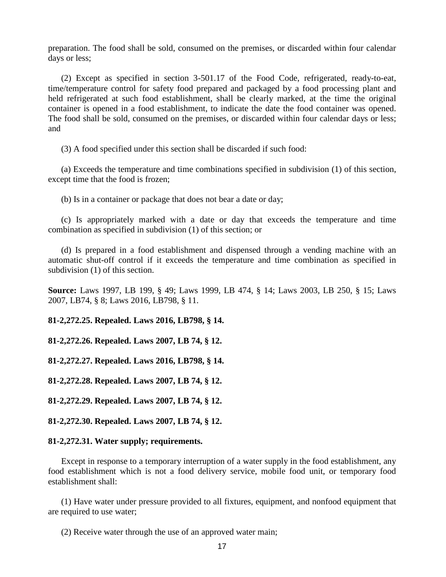preparation. The food shall be sold, consumed on the premises, or discarded within four calendar days or less;

(2) Except as specified in section 3-501.17 of the Food Code, refrigerated, ready-to-eat, time/temperature control for safety food prepared and packaged by a food processing plant and held refrigerated at such food establishment, shall be clearly marked, at the time the original container is opened in a food establishment, to indicate the date the food container was opened. The food shall be sold, consumed on the premises, or discarded within four calendar days or less; and

(3) A food specified under this section shall be discarded if such food:

(a) Exceeds the temperature and time combinations specified in subdivision (1) of this section, except time that the food is frozen;

(b) Is in a container or package that does not bear a date or day;

(c) Is appropriately marked with a date or day that exceeds the temperature and time combination as specified in subdivision (1) of this section; or

(d) Is prepared in a food establishment and dispensed through a vending machine with an automatic shut-off control if it exceeds the temperature and time combination as specified in subdivision (1) of this section.

**Source:** Laws 1997, LB 199, § 49; Laws 1999, LB 474, § 14; Laws 2003, LB 250, § 15; Laws 2007, LB74, § 8; Laws 2016, LB798, § 11.

**81-2,272.25. Repealed. Laws 2016, LB798, § 14.**

**81-2,272.26. Repealed. Laws 2007, LB 74, § 12.**

**81-2,272.27. Repealed. Laws 2016, LB798, § 14.**

**81-2,272.28. Repealed. Laws 2007, LB 74, § 12.**

**81-2,272.29. Repealed. Laws 2007, LB 74, § 12.**

**81-2,272.30. Repealed. Laws 2007, LB 74, § 12.**

#### **81-2,272.31. Water supply; requirements.**

Except in response to a temporary interruption of a water supply in the food establishment, any food establishment which is not a food delivery service, mobile food unit, or temporary food establishment shall:

(1) Have water under pressure provided to all fixtures, equipment, and nonfood equipment that are required to use water;

(2) Receive water through the use of an approved water main;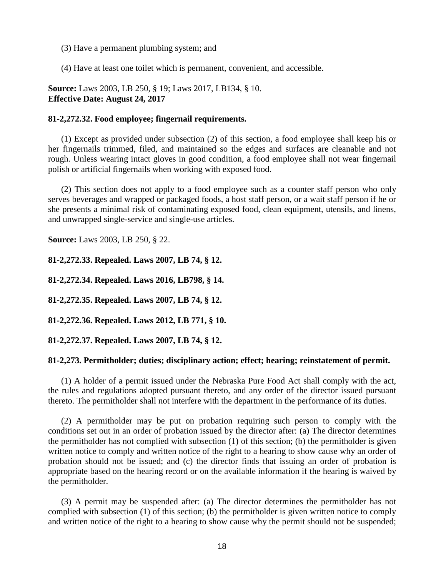(3) Have a permanent plumbing system; and

(4) Have at least one toilet which is permanent, convenient, and accessible.

**Source:** Laws 2003, LB 250, § 19; Laws 2017, LB134, § 10. **Effective Date: August 24, 2017**

## **81-2,272.32. Food employee; fingernail requirements.**

(1) Except as provided under subsection (2) of this section, a food employee shall keep his or her fingernails trimmed, filed, and maintained so the edges and surfaces are cleanable and not rough. Unless wearing intact gloves in good condition, a food employee shall not wear fingernail polish or artificial fingernails when working with exposed food.

(2) This section does not apply to a food employee such as a counter staff person who only serves beverages and wrapped or packaged foods, a host staff person, or a wait staff person if he or she presents a minimal risk of contaminating exposed food, clean equipment, utensils, and linens, and unwrapped single-service and single-use articles.

**Source:** Laws 2003, LB 250, § 22.

**81-2,272.33. Repealed. Laws 2007, LB 74, § 12.**

**81-2,272.34. Repealed. Laws 2016, LB798, § 14.**

**81-2,272.35. Repealed. Laws 2007, LB 74, § 12.**

**81-2,272.36. Repealed. Laws 2012, LB 771, § 10.**

**81-2,272.37. Repealed. Laws 2007, LB 74, § 12.**

## **81-2,273. Permitholder; duties; disciplinary action; effect; hearing; reinstatement of permit.**

(1) A holder of a permit issued under the Nebraska Pure Food Act shall comply with the act, the rules and regulations adopted pursuant thereto, and any order of the director issued pursuant thereto. The permitholder shall not interfere with the department in the performance of its duties.

(2) A permitholder may be put on probation requiring such person to comply with the conditions set out in an order of probation issued by the director after: (a) The director determines the permitholder has not complied with subsection (1) of this section; (b) the permitholder is given written notice to comply and written notice of the right to a hearing to show cause why an order of probation should not be issued; and (c) the director finds that issuing an order of probation is appropriate based on the hearing record or on the available information if the hearing is waived by the permitholder.

(3) A permit may be suspended after: (a) The director determines the permitholder has not complied with subsection (1) of this section; (b) the permitholder is given written notice to comply and written notice of the right to a hearing to show cause why the permit should not be suspended;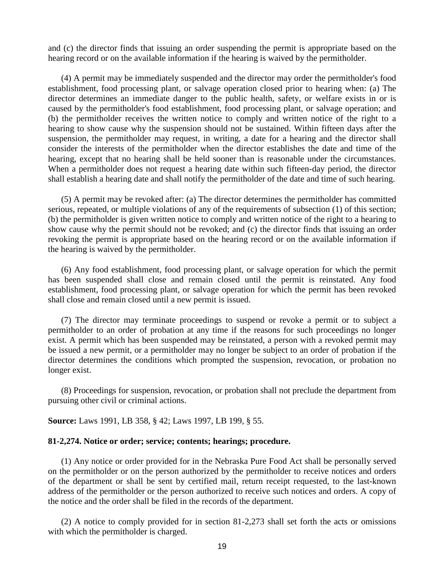and (c) the director finds that issuing an order suspending the permit is appropriate based on the hearing record or on the available information if the hearing is waived by the permitholder.

(4) A permit may be immediately suspended and the director may order the permitholder's food establishment, food processing plant, or salvage operation closed prior to hearing when: (a) The director determines an immediate danger to the public health, safety, or welfare exists in or is caused by the permitholder's food establishment, food processing plant, or salvage operation; and (b) the permitholder receives the written notice to comply and written notice of the right to a hearing to show cause why the suspension should not be sustained. Within fifteen days after the suspension, the permitholder may request, in writing, a date for a hearing and the director shall consider the interests of the permitholder when the director establishes the date and time of the hearing, except that no hearing shall be held sooner than is reasonable under the circumstances. When a permitholder does not request a hearing date within such fifteen-day period, the director shall establish a hearing date and shall notify the permitholder of the date and time of such hearing.

(5) A permit may be revoked after: (a) The director determines the permitholder has committed serious, repeated, or multiple violations of any of the requirements of subsection (1) of this section; (b) the permitholder is given written notice to comply and written notice of the right to a hearing to show cause why the permit should not be revoked; and (c) the director finds that issuing an order revoking the permit is appropriate based on the hearing record or on the available information if the hearing is waived by the permitholder.

(6) Any food establishment, food processing plant, or salvage operation for which the permit has been suspended shall close and remain closed until the permit is reinstated. Any food establishment, food processing plant, or salvage operation for which the permit has been revoked shall close and remain closed until a new permit is issued.

(7) The director may terminate proceedings to suspend or revoke a permit or to subject a permitholder to an order of probation at any time if the reasons for such proceedings no longer exist. A permit which has been suspended may be reinstated, a person with a revoked permit may be issued a new permit, or a permitholder may no longer be subject to an order of probation if the director determines the conditions which prompted the suspension, revocation, or probation no longer exist.

(8) Proceedings for suspension, revocation, or probation shall not preclude the department from pursuing other civil or criminal actions.

**Source:** Laws 1991, LB 358, § 42; Laws 1997, LB 199, § 55.

#### **81-2,274. Notice or order; service; contents; hearings; procedure.**

(1) Any notice or order provided for in the Nebraska Pure Food Act shall be personally served on the permitholder or on the person authorized by the permitholder to receive notices and orders of the department or shall be sent by certified mail, return receipt requested, to the last-known address of the permitholder or the person authorized to receive such notices and orders. A copy of the notice and the order shall be filed in the records of the department.

(2) A notice to comply provided for in section 81-2,273 shall set forth the acts or omissions with which the permitholder is charged.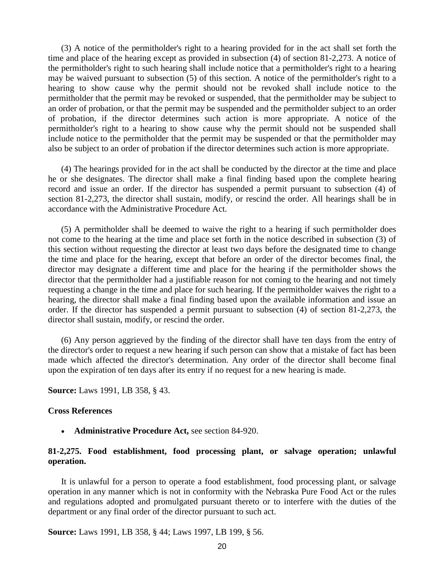(3) A notice of the permitholder's right to a hearing provided for in the act shall set forth the time and place of the hearing except as provided in subsection (4) of section 81-2,273. A notice of the permitholder's right to such hearing shall include notice that a permitholder's right to a hearing may be waived pursuant to subsection (5) of this section. A notice of the permitholder's right to a hearing to show cause why the permit should not be revoked shall include notice to the permitholder that the permit may be revoked or suspended, that the permitholder may be subject to an order of probation, or that the permit may be suspended and the permitholder subject to an order of probation, if the director determines such action is more appropriate. A notice of the permitholder's right to a hearing to show cause why the permit should not be suspended shall include notice to the permitholder that the permit may be suspended or that the permitholder may also be subject to an order of probation if the director determines such action is more appropriate.

(4) The hearings provided for in the act shall be conducted by the director at the time and place he or she designates. The director shall make a final finding based upon the complete hearing record and issue an order. If the director has suspended a permit pursuant to subsection (4) of section 81-2,273, the director shall sustain, modify, or rescind the order. All hearings shall be in accordance with the Administrative Procedure Act.

(5) A permitholder shall be deemed to waive the right to a hearing if such permitholder does not come to the hearing at the time and place set forth in the notice described in subsection (3) of this section without requesting the director at least two days before the designated time to change the time and place for the hearing, except that before an order of the director becomes final, the director may designate a different time and place for the hearing if the permitholder shows the director that the permitholder had a justifiable reason for not coming to the hearing and not timely requesting a change in the time and place for such hearing. If the permitholder waives the right to a hearing, the director shall make a final finding based upon the available information and issue an order. If the director has suspended a permit pursuant to subsection (4) of section 81-2,273, the director shall sustain, modify, or rescind the order.

(6) Any person aggrieved by the finding of the director shall have ten days from the entry of the director's order to request a new hearing if such person can show that a mistake of fact has been made which affected the director's determination. Any order of the director shall become final upon the expiration of ten days after its entry if no request for a new hearing is made.

**Source:** Laws 1991, LB 358, § 43.

#### **Cross References**

• **Administrative Procedure Act,** see section 84-920.

## **81-2,275. Food establishment, food processing plant, or salvage operation; unlawful operation.**

It is unlawful for a person to operate a food establishment, food processing plant, or salvage operation in any manner which is not in conformity with the Nebraska Pure Food Act or the rules and regulations adopted and promulgated pursuant thereto or to interfere with the duties of the department or any final order of the director pursuant to such act.

**Source:** Laws 1991, LB 358, § 44; Laws 1997, LB 199, § 56.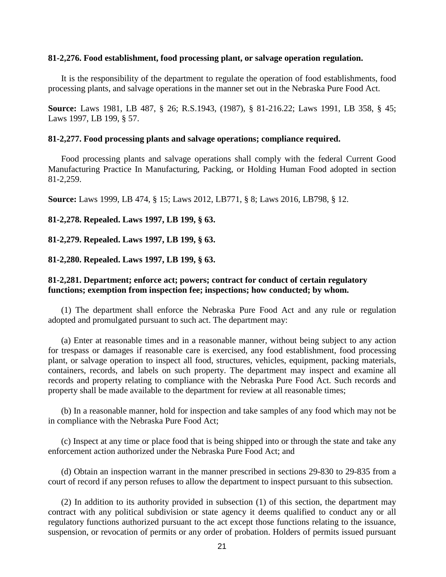## **81-2,276. Food establishment, food processing plant, or salvage operation regulation.**

It is the responsibility of the department to regulate the operation of food establishments, food processing plants, and salvage operations in the manner set out in the Nebraska Pure Food Act.

**Source:** Laws 1981, LB 487, § 26; R.S.1943, (1987), § 81-216.22; Laws 1991, LB 358, § 45; Laws 1997, LB 199, § 57.

#### **81-2,277. Food processing plants and salvage operations; compliance required.**

Food processing plants and salvage operations shall comply with the federal Current Good Manufacturing Practice In Manufacturing, Packing, or Holding Human Food adopted in section 81-2,259.

**Source:** Laws 1999, LB 474, § 15; Laws 2012, LB771, § 8; Laws 2016, LB798, § 12.

**81-2,278. Repealed. Laws 1997, LB 199, § 63.**

**81-2,279. Repealed. Laws 1997, LB 199, § 63.**

**81-2,280. Repealed. Laws 1997, LB 199, § 63.**

# **81-2,281. Department; enforce act; powers; contract for conduct of certain regulatory functions; exemption from inspection fee; inspections; how conducted; by whom.**

(1) The department shall enforce the Nebraska Pure Food Act and any rule or regulation adopted and promulgated pursuant to such act. The department may:

(a) Enter at reasonable times and in a reasonable manner, without being subject to any action for trespass or damages if reasonable care is exercised, any food establishment, food processing plant, or salvage operation to inspect all food, structures, vehicles, equipment, packing materials, containers, records, and labels on such property. The department may inspect and examine all records and property relating to compliance with the Nebraska Pure Food Act. Such records and property shall be made available to the department for review at all reasonable times;

(b) In a reasonable manner, hold for inspection and take samples of any food which may not be in compliance with the Nebraska Pure Food Act;

(c) Inspect at any time or place food that is being shipped into or through the state and take any enforcement action authorized under the Nebraska Pure Food Act; and

(d) Obtain an inspection warrant in the manner prescribed in sections 29-830 to 29-835 from a court of record if any person refuses to allow the department to inspect pursuant to this subsection.

(2) In addition to its authority provided in subsection (1) of this section, the department may contract with any political subdivision or state agency it deems qualified to conduct any or all regulatory functions authorized pursuant to the act except those functions relating to the issuance, suspension, or revocation of permits or any order of probation. Holders of permits issued pursuant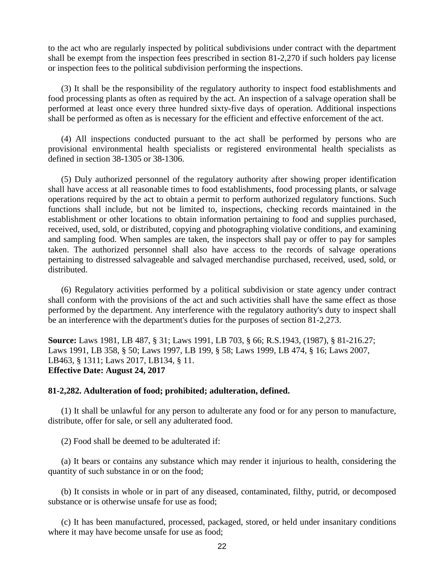to the act who are regularly inspected by political subdivisions under contract with the department shall be exempt from the inspection fees prescribed in section 81-2,270 if such holders pay license or inspection fees to the political subdivision performing the inspections.

(3) It shall be the responsibility of the regulatory authority to inspect food establishments and food processing plants as often as required by the act. An inspection of a salvage operation shall be performed at least once every three hundred sixty-five days of operation. Additional inspections shall be performed as often as is necessary for the efficient and effective enforcement of the act.

(4) All inspections conducted pursuant to the act shall be performed by persons who are provisional environmental health specialists or registered environmental health specialists as defined in section 38-1305 or 38-1306.

(5) Duly authorized personnel of the regulatory authority after showing proper identification shall have access at all reasonable times to food establishments, food processing plants, or salvage operations required by the act to obtain a permit to perform authorized regulatory functions. Such functions shall include, but not be limited to, inspections, checking records maintained in the establishment or other locations to obtain information pertaining to food and supplies purchased, received, used, sold, or distributed, copying and photographing violative conditions, and examining and sampling food. When samples are taken, the inspectors shall pay or offer to pay for samples taken. The authorized personnel shall also have access to the records of salvage operations pertaining to distressed salvageable and salvaged merchandise purchased, received, used, sold, or distributed.

(6) Regulatory activities performed by a political subdivision or state agency under contract shall conform with the provisions of the act and such activities shall have the same effect as those performed by the department. Any interference with the regulatory authority's duty to inspect shall be an interference with the department's duties for the purposes of section 81-2,273.

**Source:** Laws 1981, LB 487, § 31; Laws 1991, LB 703, § 66; R.S.1943, (1987), § 81-216.27; Laws 1991, LB 358, § 50; Laws 1997, LB 199, § 58; Laws 1999, LB 474, § 16; Laws 2007, LB463, § 1311; Laws 2017, LB134, § 11. **Effective Date: August 24, 2017**

## **81-2,282. Adulteration of food; prohibited; adulteration, defined.**

(1) It shall be unlawful for any person to adulterate any food or for any person to manufacture, distribute, offer for sale, or sell any adulterated food.

(2) Food shall be deemed to be adulterated if:

(a) It bears or contains any substance which may render it injurious to health, considering the quantity of such substance in or on the food;

(b) It consists in whole or in part of any diseased, contaminated, filthy, putrid, or decomposed substance or is otherwise unsafe for use as food;

(c) It has been manufactured, processed, packaged, stored, or held under insanitary conditions where it may have become unsafe for use as food;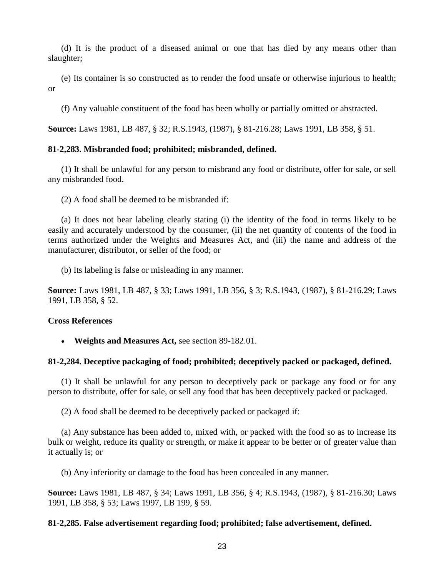(d) It is the product of a diseased animal or one that has died by any means other than slaughter;

(e) Its container is so constructed as to render the food unsafe or otherwise injurious to health; or

(f) Any valuable constituent of the food has been wholly or partially omitted or abstracted.

**Source:** Laws 1981, LB 487, § 32; R.S.1943, (1987), § 81-216.28; Laws 1991, LB 358, § 51.

# **81-2,283. Misbranded food; prohibited; misbranded, defined.**

(1) It shall be unlawful for any person to misbrand any food or distribute, offer for sale, or sell any misbranded food.

(2) A food shall be deemed to be misbranded if:

(a) It does not bear labeling clearly stating (i) the identity of the food in terms likely to be easily and accurately understood by the consumer, (ii) the net quantity of contents of the food in terms authorized under the Weights and Measures Act, and (iii) the name and address of the manufacturer, distributor, or seller of the food; or

(b) Its labeling is false or misleading in any manner.

**Source:** Laws 1981, LB 487, § 33; Laws 1991, LB 356, § 3; R.S.1943, (1987), § 81-216.29; Laws 1991, LB 358, § 52.

## **Cross References**

• **Weights and Measures Act,** see section 89-182.01.

## **81-2,284. Deceptive packaging of food; prohibited; deceptively packed or packaged, defined.**

(1) It shall be unlawful for any person to deceptively pack or package any food or for any person to distribute, offer for sale, or sell any food that has been deceptively packed or packaged.

(2) A food shall be deemed to be deceptively packed or packaged if:

(a) Any substance has been added to, mixed with, or packed with the food so as to increase its bulk or weight, reduce its quality or strength, or make it appear to be better or of greater value than it actually is; or

(b) Any inferiority or damage to the food has been concealed in any manner.

**Source:** Laws 1981, LB 487, § 34; Laws 1991, LB 356, § 4; R.S.1943, (1987), § 81-216.30; Laws 1991, LB 358, § 53; Laws 1997, LB 199, § 59.

## **81-2,285. False advertisement regarding food; prohibited; false advertisement, defined.**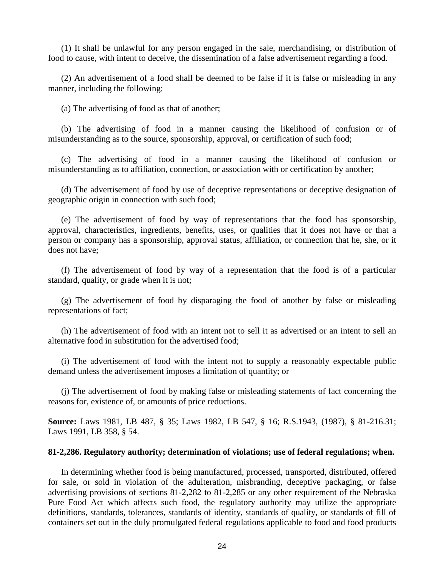(1) It shall be unlawful for any person engaged in the sale, merchandising, or distribution of food to cause, with intent to deceive, the dissemination of a false advertisement regarding a food.

(2) An advertisement of a food shall be deemed to be false if it is false or misleading in any manner, including the following:

(a) The advertising of food as that of another;

(b) The advertising of food in a manner causing the likelihood of confusion or of misunderstanding as to the source, sponsorship, approval, or certification of such food;

(c) The advertising of food in a manner causing the likelihood of confusion or misunderstanding as to affiliation, connection, or association with or certification by another;

(d) The advertisement of food by use of deceptive representations or deceptive designation of geographic origin in connection with such food;

(e) The advertisement of food by way of representations that the food has sponsorship, approval, characteristics, ingredients, benefits, uses, or qualities that it does not have or that a person or company has a sponsorship, approval status, affiliation, or connection that he, she, or it does not have;

(f) The advertisement of food by way of a representation that the food is of a particular standard, quality, or grade when it is not;

(g) The advertisement of food by disparaging the food of another by false or misleading representations of fact;

(h) The advertisement of food with an intent not to sell it as advertised or an intent to sell an alternative food in substitution for the advertised food;

(i) The advertisement of food with the intent not to supply a reasonably expectable public demand unless the advertisement imposes a limitation of quantity; or

(j) The advertisement of food by making false or misleading statements of fact concerning the reasons for, existence of, or amounts of price reductions.

**Source:** Laws 1981, LB 487, § 35; Laws 1982, LB 547, § 16; R.S.1943, (1987), § 81-216.31; Laws 1991, LB 358, § 54.

#### **81-2,286. Regulatory authority; determination of violations; use of federal regulations; when.**

In determining whether food is being manufactured, processed, transported, distributed, offered for sale, or sold in violation of the adulteration, misbranding, deceptive packaging, or false advertising provisions of sections 81-2,282 to 81-2,285 or any other requirement of the Nebraska Pure Food Act which affects such food, the regulatory authority may utilize the appropriate definitions, standards, tolerances, standards of identity, standards of quality, or standards of fill of containers set out in the duly promulgated federal regulations applicable to food and food products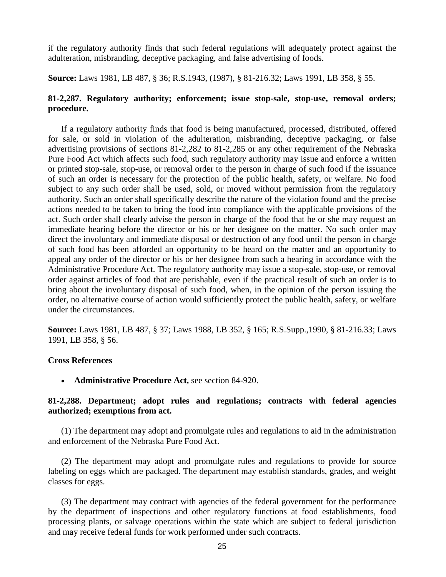if the regulatory authority finds that such federal regulations will adequately protect against the adulteration, misbranding, deceptive packaging, and false advertising of foods.

**Source:** Laws 1981, LB 487, § 36; R.S.1943, (1987), § 81-216.32; Laws 1991, LB 358, § 55.

## **81-2,287. Regulatory authority; enforcement; issue stop-sale, stop-use, removal orders; procedure.**

If a regulatory authority finds that food is being manufactured, processed, distributed, offered for sale, or sold in violation of the adulteration, misbranding, deceptive packaging, or false advertising provisions of sections 81-2,282 to 81-2,285 or any other requirement of the Nebraska Pure Food Act which affects such food, such regulatory authority may issue and enforce a written or printed stop-sale, stop-use, or removal order to the person in charge of such food if the issuance of such an order is necessary for the protection of the public health, safety, or welfare. No food subject to any such order shall be used, sold, or moved without permission from the regulatory authority. Such an order shall specifically describe the nature of the violation found and the precise actions needed to be taken to bring the food into compliance with the applicable provisions of the act. Such order shall clearly advise the person in charge of the food that he or she may request an immediate hearing before the director or his or her designee on the matter. No such order may direct the involuntary and immediate disposal or destruction of any food until the person in charge of such food has been afforded an opportunity to be heard on the matter and an opportunity to appeal any order of the director or his or her designee from such a hearing in accordance with the Administrative Procedure Act. The regulatory authority may issue a stop-sale, stop-use, or removal order against articles of food that are perishable, even if the practical result of such an order is to bring about the involuntary disposal of such food, when, in the opinion of the person issuing the order, no alternative course of action would sufficiently protect the public health, safety, or welfare under the circumstances.

**Source:** Laws 1981, LB 487, § 37; Laws 1988, LB 352, § 165; R.S.Supp.,1990, § 81-216.33; Laws 1991, LB 358, § 56.

## **Cross References**

• **Administrative Procedure Act,** see section 84-920.

## **81-2,288. Department; adopt rules and regulations; contracts with federal agencies authorized; exemptions from act.**

(1) The department may adopt and promulgate rules and regulations to aid in the administration and enforcement of the Nebraska Pure Food Act.

(2) The department may adopt and promulgate rules and regulations to provide for source labeling on eggs which are packaged. The department may establish standards, grades, and weight classes for eggs.

(3) The department may contract with agencies of the federal government for the performance by the department of inspections and other regulatory functions at food establishments, food processing plants, or salvage operations within the state which are subject to federal jurisdiction and may receive federal funds for work performed under such contracts.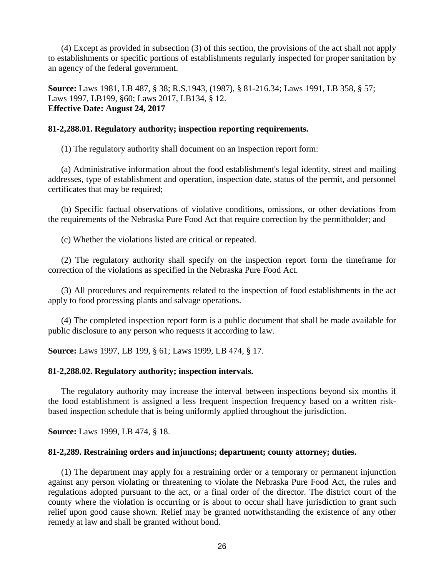(4) Except as provided in subsection (3) of this section, the provisions of the act shall not apply to establishments or specific portions of establishments regularly inspected for proper sanitation by an agency of the federal government.

**Source:** Laws 1981, LB 487, § 38; R.S.1943, (1987), § 81-216.34; Laws 1991, LB 358, § 57; Laws 1997, LB199, §60; Laws 2017, LB134, § 12. **Effective Date: August 24, 2017**

## **81-2,288.01. Regulatory authority; inspection reporting requirements.**

(1) The regulatory authority shall document on an inspection report form:

(a) Administrative information about the food establishment's legal identity, street and mailing addresses, type of establishment and operation, inspection date, status of the permit, and personnel certificates that may be required;

(b) Specific factual observations of violative conditions, omissions, or other deviations from the requirements of the Nebraska Pure Food Act that require correction by the permitholder; and

(c) Whether the violations listed are critical or repeated.

(2) The regulatory authority shall specify on the inspection report form the timeframe for correction of the violations as specified in the Nebraska Pure Food Act.

(3) All procedures and requirements related to the inspection of food establishments in the act apply to food processing plants and salvage operations.

(4) The completed inspection report form is a public document that shall be made available for public disclosure to any person who requests it according to law.

**Source:** Laws 1997, LB 199, § 61; Laws 1999, LB 474, § 17.

## **81-2,288.02. Regulatory authority; inspection intervals.**

The regulatory authority may increase the interval between inspections beyond six months if the food establishment is assigned a less frequent inspection frequency based on a written riskbased inspection schedule that is being uniformly applied throughout the jurisdiction.

**Source:** Laws 1999, LB 474, § 18.

## **81-2,289. Restraining orders and injunctions; department; county attorney; duties.**

(1) The department may apply for a restraining order or a temporary or permanent injunction against any person violating or threatening to violate the Nebraska Pure Food Act, the rules and regulations adopted pursuant to the act, or a final order of the director. The district court of the county where the violation is occurring or is about to occur shall have jurisdiction to grant such relief upon good cause shown. Relief may be granted notwithstanding the existence of any other remedy at law and shall be granted without bond.